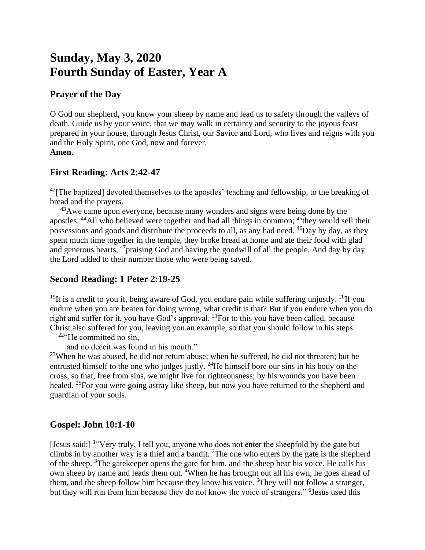# **Sunday, May 3, 2020 Fourth Sunday of Easter, Year A**

# **Prayer of the Day**

O God our shepherd, you know your sheep by name and lead us to safety through the valleys of death. Guide us by your voice, that we may walk in certainty and security to the joyous feast prepared in your house, through Jesus Christ, our Savior and Lord, who lives and reigns with you and the Holy Spirit, one God, now and forever. **Amen.**

### **First Reading: Acts 2:42-47**

 $^{42}$ [The baptized] devoted themselves to the apostles' teaching and fellowship, to the breaking of bread and the prayers.

<sup>43</sup>Awe came upon everyone, because many wonders and signs were being done by the apostles. <sup>44</sup>All who believed were together and had all things in common; <sup>45</sup>they would sell their possessions and goods and distribute the proceeds to all, as any had need. <sup>46</sup>Day by day, as they spent much time together in the temple, they broke bread at home and ate their food with glad and generous hearts, <sup>47</sup>praising God and having the goodwill of all the people. And day by day the Lord added to their number those who were being saved.

# **Second Reading: 1 Peter 2:19-25**

<sup>19</sup>It is a credit to you if, being aware of God, you endure pain while suffering unjustly. <sup>20</sup>If you endure when you are beaten for doing wrong, what credit is that? But if you endure when you do right and suffer for it, you have God's approval. <sup>21</sup> For to this you have been called, because Christ also suffered for you, leaving you an example, so that you should follow in his steps.

 $22$ "He committed no sin,

and no deceit was found in his mouth."

 $^{23}$ When he was abused, he did not return abuse; when he suffered, he did not threaten; but he entrusted himself to the one who judges justly.  $^{24}$ He himself bore our sins in his body on the cross, so that, free from sins, we might live for righteousness; by his wounds you have been healed. <sup>25</sup>For you were going astray like sheep, but now you have returned to the shepherd and guardian of your souls.

#### **Gospel: John 10:1-10**

[Jesus said:] <sup>1</sup> Very truly, I tell you, anyone who does not enter the sheepfold by the gate but climbs in by another way is a thief and a bandit. <sup>2</sup>The one who enters by the gate is the shepherd of the sheep. <sup>3</sup>The gatekeeper opens the gate for him, and the sheep hear his voice. He calls his own sheep by name and leads them out. <sup>4</sup>When he has brought out all his own, he goes ahead of them, and the sheep follow him because they know his voice.  $5$ They will not follow a stranger, but they will run from him because they do not know the voice of strangers." <sup>6</sup> Jesus used this